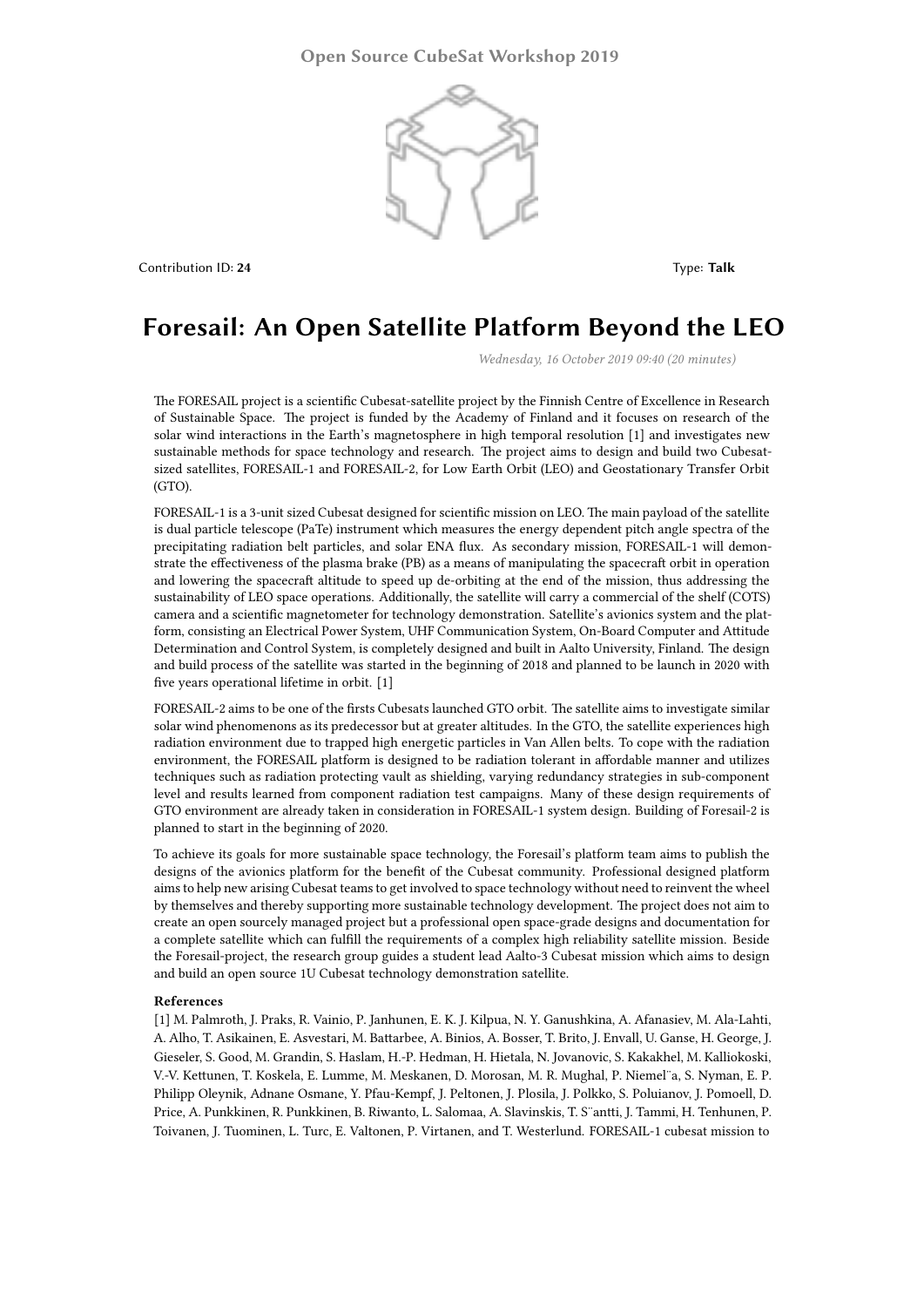

Contribution ID: **24** Type: **Talk**

## **Foresail: An Open Satellite Platform Beyond the LEO**

*Wednesday, 16 October 2019 09:40 (20 minutes)*

The FORESAIL project is a scientific Cubesat-satellite project by the Finnish Centre of Excellence in Research of Sustainable Space. The project is funded by the Academy of Finland and it focuses on research of the solar wind interactions in the Earth's magnetosphere in high temporal resolution [1] and investigates new sustainable methods for space technology and research. The project aims to design and build two Cubesatsized satellites, FORESAIL-1 and FORESAIL-2, for Low Earth Orbit (LEO) and Geostationary Transfer Orbit (GTO).

FORESAIL-1 is a 3-unit sized Cubesat designed for scientific mission on LEO. The main payload of the satellite is dual particle telescope (PaTe) instrument which measures the energy dependent pitch angle spectra of the precipitating radiation belt particles, and solar ENA flux. As secondary mission, FORESAIL-1 will demonstrate the effectiveness of the plasma brake (PB) as a means of manipulating the spacecraft orbit in operation and lowering the spacecraft altitude to speed up de-orbiting at the end of the mission, thus addressing the sustainability of LEO space operations. Additionally, the satellite will carry a commercial of the shelf (COTS) camera and a scientific magnetometer for technology demonstration. Satellite's avionics system and the platform, consisting an Electrical Power System, UHF Communication System, On-Board Computer and Attitude Determination and Control System, is completely designed and built in Aalto University, Finland. The design and build process of the satellite was started in the beginning of 2018 and planned to be launch in 2020 with five years operational lifetime in orbit. [1]

FORESAIL-2 aims to be one of the firsts Cubesats launched GTO orbit. The satellite aims to investigate similar solar wind phenomenons as its predecessor but at greater altitudes. In the GTO, the satellite experiences high radiation environment due to trapped high energetic particles in Van Allen belts. To cope with the radiation environment, the FORESAIL platform is designed to be radiation tolerant in affordable manner and utilizes techniques such as radiation protecting vault as shielding, varying redundancy strategies in sub-component level and results learned from component radiation test campaigns. Many of these design requirements of GTO environment are already taken in consideration in FORESAIL-1 system design. Building of Foresail-2 is planned to start in the beginning of 2020.

To achieve its goals for more sustainable space technology, the Foresail's platform team aims to publish the designs of the avionics platform for the benefit of the Cubesat community. Professional designed platform aims to help new arising Cubesat teams to get involved to space technology without need to reinvent the wheel by themselves and thereby supporting more sustainable technology development. The project does not aim to create an open sourcely managed project but a professional open space-grade designs and documentation for a complete satellite which can fulfill the requirements of a complex high reliability satellite mission. Beside the Foresail-project, the research group guides a student lead Aalto-3 Cubesat mission which aims to design and build an open source 1U Cubesat technology demonstration satellite.

## **References**

[1] M. Palmroth, J. Praks, R. Vainio, P. Janhunen, E. K. J. Kilpua, N. Y. Ganushkina, A. Afanasiev, M. Ala-Lahti, A. Alho, T. Asikainen, E. Asvestari, M. Battarbee, A. Binios, A. Bosser, T. Brito, J. Envall, U. Ganse, H. George, J. Gieseler, S. Good, M. Grandin, S. Haslam, H.-P. Hedman, H. Hietala, N. Jovanovic, S. Kakakhel, M. Kalliokoski, V.-V. Kettunen, T. Koskela, E. Lumme, M. Meskanen, D. Morosan, M. R. Mughal, P. Niemel¨a, S. Nyman, E. P. Philipp Oleynik, Adnane Osmane, Y. Pfau-Kempf, J. Peltonen, J. Plosila, J. Polkko, S. Poluianov, J. Pomoell, D. Price, A. Punkkinen, R. Punkkinen, B. Riwanto, L. Salomaa, A. Slavinskis, T. S¨antti, J. Tammi, H. Tenhunen, P. Toivanen, J. Tuominen, L. Turc, E. Valtonen, P. Virtanen, and T. Westerlund. FORESAIL-1 cubesat mission to